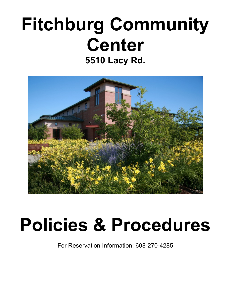## Fitchburg Community Center 5510 Lacy Rd.



# Policies & Procedures

For Reservation Information: 608-270-4285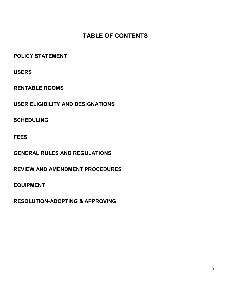### TABLE OF CONTENTS

POLICY STATEMENT

USERS

RENTABLE ROOMS

USER ELIGIBILITY AND DESIGNATIONS

**SCHEDULING** 

FEES

GENERAL RULES AND REGULATIONS

REVIEW AND AMENDMENT PROCEDURES

EQUIPMENT

RESOLUTION-ADOPTING & APPROVING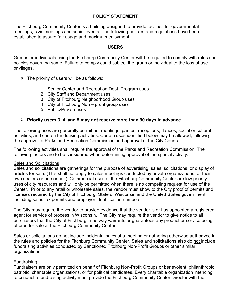#### POLICY STATEMENT

The Fitchburg Community Center is a building designed to provide facilities for governmental meetings, civic meetings and social events. The following policies and regulations have been established to assure fair usage and maximum enjoyment.

#### USERS

Groups or individuals using the Fitchburg Community Center will be required to comply with rules and policies governing same. Failure to comply could subject the group or individual to the loss of use privileges.

- $\triangleright$  The priority of users will be as follows:
	- 1. Senior Center and Recreation Dept. Program uses
	- 2. City Staff and Department uses
	- 3. City of Fitchburg Neighborhood Group uses
	- 4. City of Fitchburg Non profit group uses
	- 5. Public/Private uses

#### $\triangleright$  Priority users 3, 4, and 5 may not reserve more than 90 days in advance.

The following uses are generally permitted; meetings, parties, receptions, dances, social or cultural activities, and certain fundraising activities. Certain uses identified below may be allowed, following the approval of Parks and Recreation Commission and approval of the City Council.

The following activities shall require the approval of the Parks and Recreation Commission. The following factors are to be considered when determining approval of the special activity.

#### Sales and Solicitations

Sales and solicitations are gatherings for the purpose of advertising, sales, solicitations, or display of articles for sale. (This shall not apply to sales meetings conducted by private organizations for their own dealers or personnel.) Commercial uses of the Fitchburg Community Center are low priority uses of city resources and will only be permitted when there is no competing request for use of the Center. Prior to any retail or wholesale sales, the vendor must show to the City proof of permits and licenses required by the City of Fitchburg, State of Wisconsin and the United States government, including sales tax permits and employer identification numbers.

The City may require the vendor to provide evidence that the vendor is or has appointed a registered agent for service of process in Wisconsin. The City may require the vendor to give notice to all purchasers that the City of Fitchburg in no way warrants or guarantees any product or service being offered for sale at the Fitchburg Community Center.

Sales or solicitations do not include incidental sales at a meeting or gathering otherwise authorized in the rules and policies for the Fitchburg Community Center. Sales and solicitations also do not include fundraising activities conducted by Sanctioned Fitchburg Non-Profit Groups or other similar organizations.

#### Fundraising

Fundraisers are only permitted on behalf of Fitchburg Non-Profit Groups or benevolent, philanthropic, patriotic, charitable organizations, or for political candidates. Every charitable organization intending to conduct a fundraising activity must provide the Fitchburg Community Center Director with the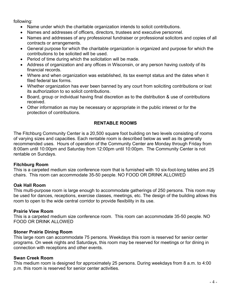following:

- Name under which the charitable organization intends to solicit contributions.
- Names and addresses of officers, directors, trustees and executive personnel.
- Names and addresses of any professional fundraiser or professional solicitors and copies of all contracts or arrangements.
- General purpose for which the charitable organization is organized and purpose for which the contributions to be solicited will be used.
- Period of time during which the solicitation will be made.
- Address of organization and any offices in Wisconsin, or any person having custody of its financial records.
- Where and when organization was established, its tax exempt status and the dates when it filed federal tax forms.
- Whether organization has ever been banned by any court from soliciting contributions or lost its authorization to so solicit contributions.
- Board, group or individual having final discretion as to the distribution & use of contributions received.
- Other information as may be necessary or appropriate in the public interest or for the protection of contributions.

#### RENTABLE ROOMS

The Fitchburg Community Center is a 20,500 square foot building on two levels consisting of rooms of varying sizes and capacities. Each rentable room is described below as well as its generally recommended uses. Hours of operation of the Community Center are Monday through Friday from 8:00am until 10:00pm and Saturday from 12:00pm until 10:00pm. The Community Center is not rentable on Sundays.

#### Fitchburg Room

This is a carpeted medium size conference room that is furnished with 10 six-foot-long tables and 25 chairs. This room can accommodate 35-50 people. NO FOOD OR DRINK ALLOWED

#### Oak Hall Room

This multi-purpose room is large enough to accommodate gatherings of 250 persons. This room may be used for dances, receptions, exercise classes, meetings, etc. The design of the building allows this room to open to the wide central corridor to provide flexibility in its use.

#### Prairie View Room

This is a carpeted medium size conference room. This room can accommodate 35-50 people. NO FOOD OR DRINK ALLOWED

#### Stoner Prairie Dining Room

This large room can accommodate 75 persons. Weekdays this room is reserved for senior center programs. On week nights and Saturdays, this room may be reserved for meetings or for dining in connection with receptions and other events.

#### Swan Creek Room

This medium room is designed for approximately 25 persons. During weekdays from 8 a.m. to 4:00 p.m. this room is reserved for senior center activities.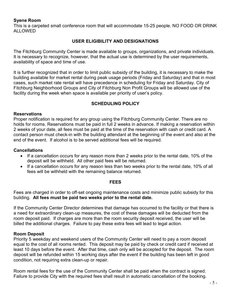#### Syene Room

This is a carpeted small conference room that will accommodate 15-25 people. NO FOOD OR DRINK ALLOWED

#### USER ELIGIBILITY AND DESIGNATIONS

The Fitchburg Community Center is made available to groups, organizations, and private individuals. It is necessary to recognize, however, that the actual use is determined by the user requirements, availability of space and time of use.

It is further recognized that in order to limit public subsidy of the building, it is necessary to make the building available for market rental during peak usage periods (Friday and Saturday) and that in most cases, such market rate rental will have precedence in scheduling for Friday and Saturday. City of Fitchburg Neighborhood Groups and City of Fitchburg Non Profit Groups will be allowed use of the facility during the week when space is available per priority of user's policy.

#### SCHEDULING POLICY

#### **Reservations**

Proper notification is required for any group using the Fitchburg Community Center. There are no holds for rooms. Reservations must be paid in full 2 weeks in advance. If making a reservation within 2 weeks of your date, all fees must be paid at the time of the reservation with cash or credit card. A contact person must check-in with the building attendant at the beginning of the event and also at the end of the event. If alcohol is to be served additional fees will be required.

#### Cancellations

- If a cancellation occurs for any reason more than 2 weeks prior to the rental date, 10% of the deposit will be withheld. All other paid fees will be returned.
- If a cancellation occurs for any reason less than two weeks prior to the rental date, 10% of all fees will be withheld with the remaining balance returned.

#### FEES

Fees are charged in order to off-set ongoing maintenance costs and minimize public subsidy for this building. All fees must be paid two weeks prior to the rental date.

If the Community Center Director determines that damage has occurred to the facility or that there is a need for extraordinary clean-up measures, the cost of these damages will be deducted from the room deposit paid. If charges are more than the room security deposit received, the user will be billed the additional charges. Failure to pay these extra fees will lead to legal action.

#### Room Deposit

Priority 5 weekday and weekend users of the Community Center will need to pay a room deposit equal to the cost of all rooms rented. This deposit may be paid by check or credit card if received at least 10 days before the event. After that time, cash only will be accepted for the deposit. The room deposit will be refunded within 15 working days after the event if the building has been left in good condition, not requiring extra clean-up or repair.

Room rental fees for the use of the Community Center shall be paid when the contract is signed. Failure to provide City with the required fees shall result in automatic cancellation of the booking.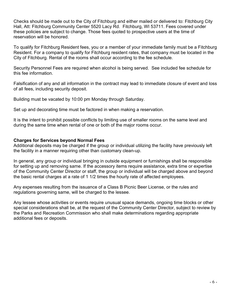Checks should be made out to the City of Fitchburg and either mailed or delivered to: Fitchburg City Hall, Att: Fitchburg Community Center 5520 Lacy Rd. Fitchburg, WI 53711. Fees covered under these policies are subject to change. Those fees quoted to prospective users at the time of reservation will be honored.

To qualify for Fitchburg Resident fees, you or a member of your immediate family must be a Fitchburg Resident. For a company to qualify for Fitchburg resident rates, that company must be located in the City of Fitchburg. Rental of the rooms shall occur according to the fee schedule.

Security Personnel Fees are required when alcohol is being served. See included fee schedule for this fee information.

Falsification of any and all information in the contract may lead to immediate closure of event and loss of all fees, including security deposit.

Building must be vacated by 10:00 pm Monday through Saturday.

Set up and decorating time must be factored in when making a reservation.

It is the intent to prohibit possible conflicts by limiting use of smaller rooms on the same level and during the same time when rental of one or both of the major rooms occur.

#### Charges for Services beyond Normal Fees

Additional deposits may be charged if the group or individual utilizing the facility have previously left the facility in a manner requiring other than customary clean-up.

In general, any group or individual bringing in outside equipment or furnishings shall be responsible for setting up and removing same. If the accessory items require assistance, extra time or expertise of the Community Center Director or staff, the group or individual will be charged above and beyond the basic rental charges at a rate of 1 1/2 times the hourly rate of affected employees.

Any expenses resulting from the issuance of a Class B Picnic Beer License, or the rules and regulations governing same, will be charged to the lessee.

Any lessee whose activities or events require unusual space demands, ongoing time blocks or other special considerations shall be, at the request of the Community Center Director, subject to review by the Parks and Recreation Commission who shall make determinations regarding appropriate additional fees or deposits.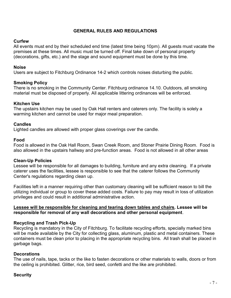#### GENERAL RULES AND REGULATIONS

#### **Curfew**

All events must end by their scheduled end time (latest time being 10pm). All guests must vacate the premises at these times. All music must be turned off. Final take down of personal property (decorations, gifts, etc.) and the stage and sound equipment must be done by this time.

#### Noise

Users are subject to Fitchburg Ordinance 14-2 which controls noises disturbing the public.

#### Smoking Policy

There is no smoking in the Community Center. Fitchburg ordinance 14.10. Outdoors, all smoking material must be disposed of properly. All applicable littering ordinances will be enforced.

#### Kitchen Use

The upstairs kitchen may be used by Oak Hall renters and caterers only. The facility is solely a warming kitchen and cannot be used for major meal preparation.

#### **Candles**

Lighted candles are allowed with proper glass coverings over the candle.

#### Food

Food is allowed in the Oak Hall Room, Swan Creek Room, and Stoner Prairie Dining Room. Food is also allowed in the upstairs hallway and pre-function areas. Food is not allowed in all other areas

#### Clean-Up Policies

Lessee will be responsible for all damages to building, furniture and any extra cleaning. If a private caterer uses the facilities, lessee is responsible to see that the caterer follows the Community Center's regulations regarding clean up.

Facilities left in a manner requiring other than customary cleaning will be sufficient reason to bill the utilizing individual or group to cover these added costs. Failure to pay may result in loss of utilization privileges and could result in additional administrative action.

#### Lessee will be responsible for cleaning and tearing down tables and chairs. Lessee will be responsible for removal of any wall decorations and other personal equipment.

#### Recycling and Trash Pick-Up

Recycling is mandatory in the City of Fitchburg. To facilitate recycling efforts, specially marked bins will be made available by the City for collecting glass, aluminum, plastic and metal containers. These containers must be clean prior to placing in the appropriate recycling bins. All trash shall be placed in garbage bags.

#### **Decorations**

The use of nails, tape, tacks or the like to fasten decorations or other materials to walls, doors or from the ceiling is prohibited. Glitter, rice, bird seed, confetti and the like are prohibited.

#### **Security**